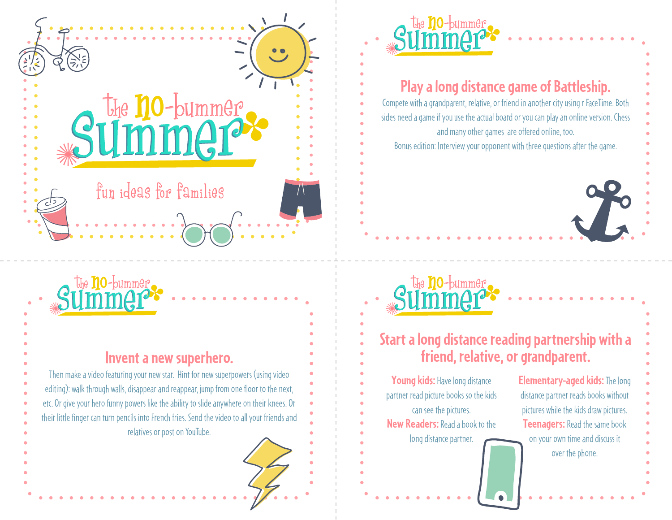



#### **Invent a new superhero.**

Then make a video featuring your new star. Hint for new superpowers (using video editing): walk through walls, disappear and reappear, jump from one floor to the next, etc. Or give your hero funny powers like the ability to slide anywhere on their knees. Or their little finger can turn pencils into French fries. Send the video to all your friends and relatives or post on YouTube.



## **Play a long distance game of Battleship.**

Compete with a grandparent, relative, or friend in another city using r FaceTime. Both sides need a game if you use the actual board or you can play an online version. Chess and many other games are offered online, too.

Bonus edition: Interview your opponent with three questions after the game.

### $\frac{1}{2}$ ✺ the **no**-bumme<u>r</u>

#### **Start a long distance reading partnership with a friend, relative, or grandparent.**

**Young kids:** Have long distance partner read picture books so the kids can see the pictures. **New Readers:** Read a book to the long distance partner.

**Elementary-aged kids:** The long distance partner reads books without pictures while the kids draw pictures. **Teenagers:** Read the same book on your own time and discuss it over the phone.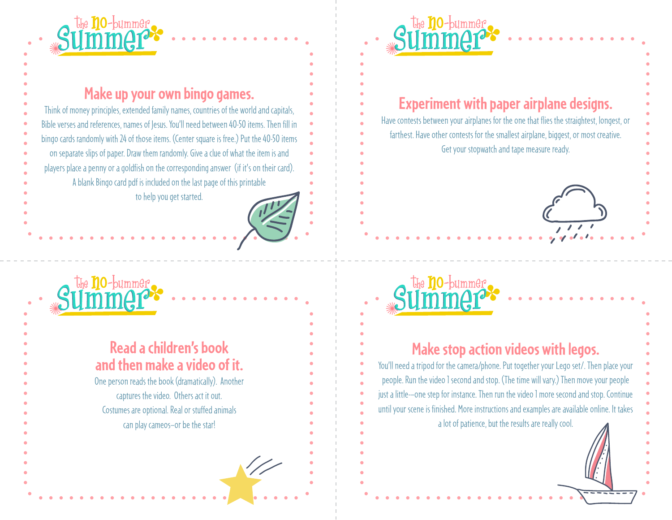

## **Make up your own bingo games.**

Think of money principles, extended family names, countries of the world and capitals, Bible verses and references, names of Jesus. You'll need between 40-50 items. Then fill in bingo cards randomly with 24 of those items. (Center square is free.) Put the 40-50 items on separate slips of paper. Draw them randomly. Give a clue of what the item is and players place a penny or a goldfish on the corresponding answer (if it's on their card). A blank Bingo card pdf is included on the last page of this printable to help you get started.



#### **Read a children's book and then make a video of it.**

One person reads the book (dramatically). Another captures the video. Others act it out. Costumes are optional. Real or stuffed animals can play cameos—or be the star!



## **Experiment with paper airplane designs.**

Have contests between your airplanes for the one that flies the straightest, longest, or farthest. Have other contests for the smallest airplane, biggest, or most creative. Get your stopwatch and tape measure ready.

#### $\frac{1}{2}$ ✺ the **no**-bummer

#### **Make stop action videos with legos.**

You'll need a tripod for the camera/phone. Put together your Lego set/. Then place your people. Run the video 1 second and stop. (The time will vary.) Then move your people just a little-—one step for instance. Then run the video 1 more second and stop. Continue until your scene is finished. More instructions and examples are available online. It takes a lot of patience, but the results are really cool.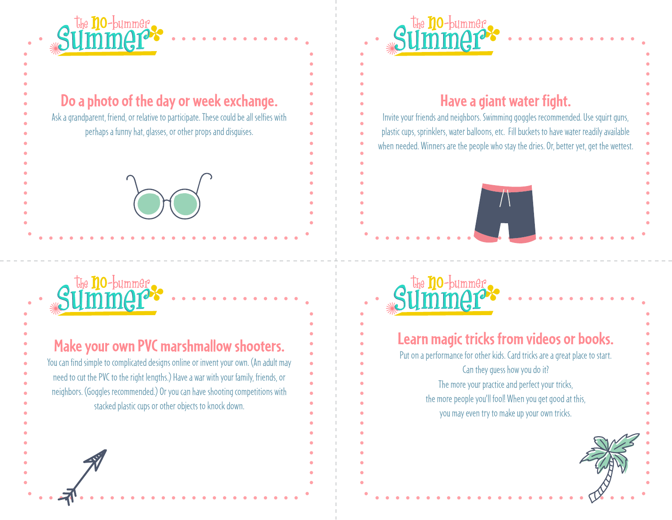

**Do a photo of the day or week exchange.** 

Ask a grandparent, friend, or relative to participate. These could be all selfies with perhaps a funny hat, glasses, or other props and disguises.

### $\frac{1}{2}$ ✺ the **no**-bumme<u>r</u>

**Make your own PVC marshmallow shooters.**  You can find simple to complicated designs online or invent your own. (An adult may need to cut the PVC to the right lengths.) Have a war with your family, friends, or neighbors. (Goggles recommended.) Or you can have shooting competitions with stacked plastic cups or other objects to knock down.



## **Have a giant water fight.**

Invite your friends and neighbors. Swimming goggles recommended. Use squirt guns, plastic cups, sprinklers, water balloons, etc. Fill buckets to have water readily available when needed. Winners are the people who stay the dries. Or, better yet, get the wettest.

### $\frac{1}{2}$ ✺ the **no**-bumme<u>r</u>

## **Learn magic tricks from videos or books.**

Put on a performance for other kids. Card tricks are a great place to start. Can they guess how you do it? The more your practice and perfect your tricks, the more people you'll fool! When you get good at this, you may even try to make up your own tricks.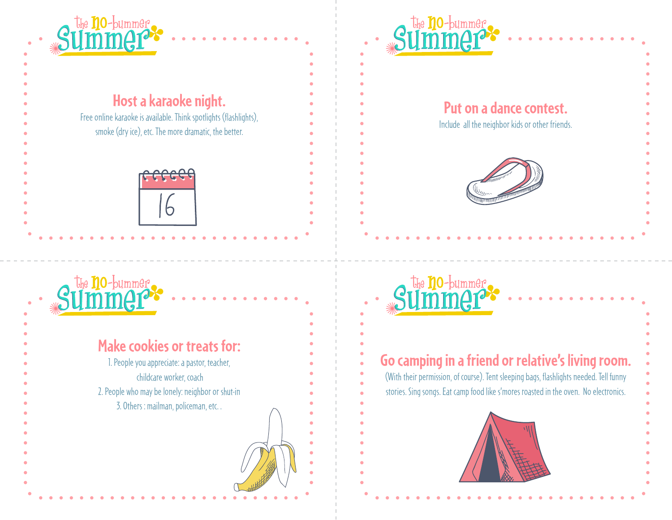

## **Host a karaoke night.**

Free online karaoke is available. Think spotlights (flashlights), smoke (dry ice), etc. The more dramatic, the better.



### $\frac{1}{2}$ ✺ the **no**-bumme<u>r</u>





## **Put on a dance contest.**

Include all the neighbor kids or other friends.



# **Go camping in a friend or relative's living room.**

 $\frac{1}{2}$ 

the **no**-bumme<u>r</u>

✺

(With their permission, of course). Tent sleeping bags, flashlights needed. Tell funny stories. Sing songs. Eat camp food like s'mores roasted in the oven. No electronics.

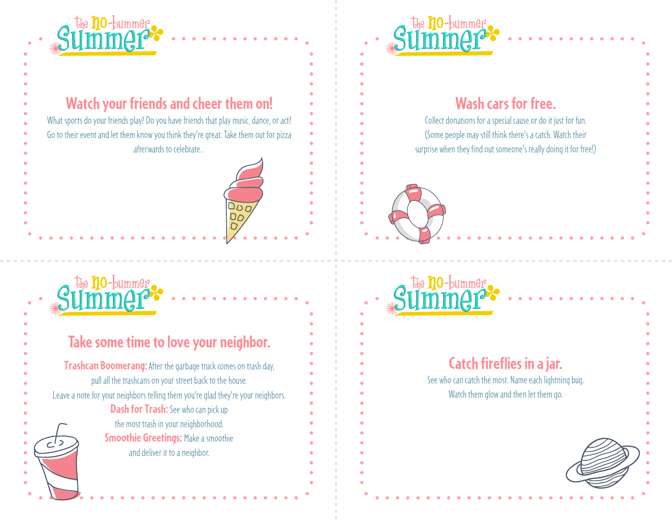

## **Watch your friends and cheer them on!**

DOO<br>DOO<br>DOO

What sports do your friends play? Do you have friends that play music, dance, or act? Go to their event and let them know you think they're great. Take them out for pizza afterwards to celebrate. .

### $\frac{1}{2}$ ✺ the **no**-bumme<u>r</u>

| Take some time to love your neighbor.                                                                                                        |
|----------------------------------------------------------------------------------------------------------------------------------------------|
| <b>Trashcan Boomerang:</b> After the garbage truck comes on trash day,                                                                       |
| pull all the trashcans on your street back to the house.<br>Leave a note for your neighbors telling them you're glad they're your neighbors. |
| <b>Dash for Trash:</b> See who can pick up                                                                                                   |
| the most trash in your neighborhood.                                                                                                         |
| <b>Smoothie Greetings: Make a smoothie</b>                                                                                                   |
| and deliver it to a neighbor.                                                                                                                |
|                                                                                                                                              |



## **Wash cars for free.**

Collect donations for a special cause or do it just for fun. (Some people may still think there's a catch. Watch their surprise when they find out someone's really doing it for free!)





## **Catch fireflies in a jar.**

See who can catch the most. Name each lightning bug. Watch them glow and then let them go.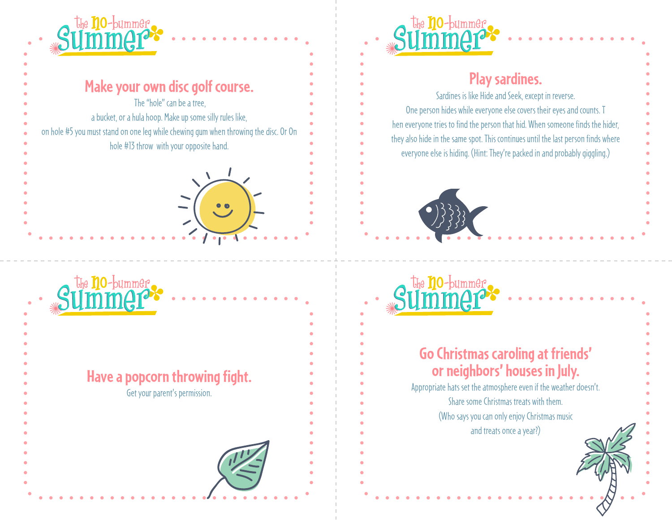



## **Have a popcorn throwing fight.**





## **Play sardines.**

Sardines is like Hide and Seek, except in reverse. One person hides while everyone else covers their eyes and counts. T hen everyone tries to find the person that hid. When someone finds the hider, they also hide in the same spot. This continues until the last person finds where everyone else is hiding. (Hint: They're packed in and probably giggling.)



the no-bummer

✺

## **Go Christmas caroling at friends' or neighbors' houses in July.**

 $\frac{1}{2}$ 

Appropriate hats set the atmosphere even if the weather doesn't. Share some Christmas treats with them. (Who says you can only enjoy Christmas music and treats once a year?)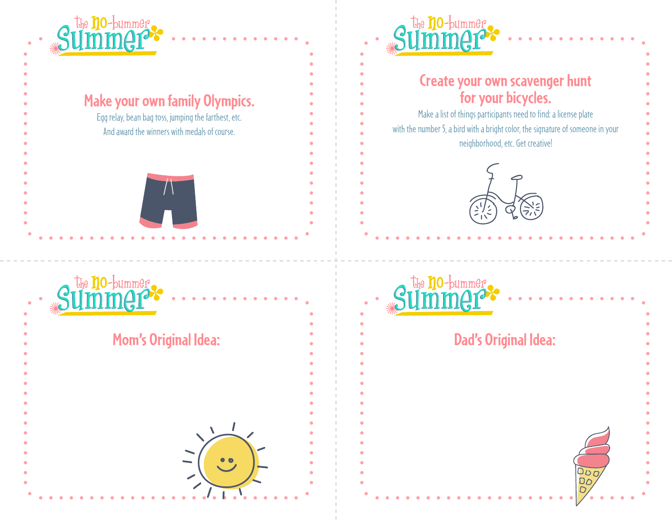